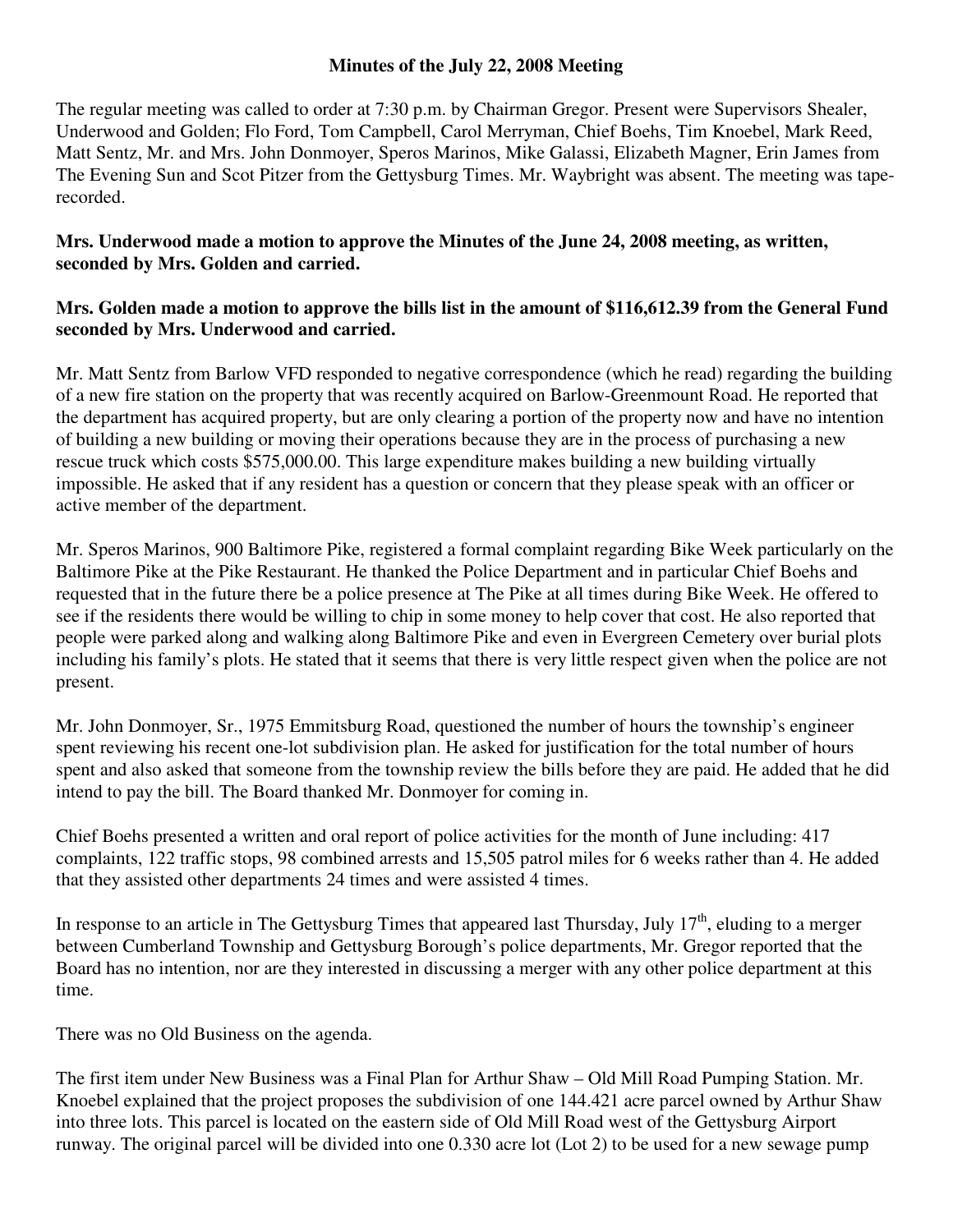## **Minutes of the July 22, 2008 Meeting**

The regular meeting was called to order at 7:30 p.m. by Chairman Gregor. Present were Supervisors Shealer, Underwood and Golden; Flo Ford, Tom Campbell, Carol Merryman, Chief Boehs, Tim Knoebel, Mark Reed, Matt Sentz, Mr. and Mrs. John Donmoyer, Speros Marinos, Mike Galassi, Elizabeth Magner, Erin James from The Evening Sun and Scot Pitzer from the Gettysburg Times. Mr. Waybright was absent. The meeting was taperecorded.

## **Mrs. Underwood made a motion to approve the Minutes of the June 24, 2008 meeting, as written, seconded by Mrs. Golden and carried.**

## **Mrs. Golden made a motion to approve the bills list in the amount of \$116,612.39 from the General Fund seconded by Mrs. Underwood and carried.**

Mr. Matt Sentz from Barlow VFD responded to negative correspondence (which he read) regarding the building of a new fire station on the property that was recently acquired on Barlow-Greenmount Road. He reported that the department has acquired property, but are only clearing a portion of the property now and have no intention of building a new building or moving their operations because they are in the process of purchasing a new rescue truck which costs \$575,000.00. This large expenditure makes building a new building virtually impossible. He asked that if any resident has a question or concern that they please speak with an officer or active member of the department.

Mr. Speros Marinos, 900 Baltimore Pike, registered a formal complaint regarding Bike Week particularly on the Baltimore Pike at the Pike Restaurant. He thanked the Police Department and in particular Chief Boehs and requested that in the future there be a police presence at The Pike at all times during Bike Week. He offered to see if the residents there would be willing to chip in some money to help cover that cost. He also reported that people were parked along and walking along Baltimore Pike and even in Evergreen Cemetery over burial plots including his family's plots. He stated that it seems that there is very little respect given when the police are not present.

Mr. John Donmoyer, Sr., 1975 Emmitsburg Road, questioned the number of hours the township's engineer spent reviewing his recent one-lot subdivision plan. He asked for justification for the total number of hours spent and also asked that someone from the township review the bills before they are paid. He added that he did intend to pay the bill. The Board thanked Mr. Donmoyer for coming in.

Chief Boehs presented a written and oral report of police activities for the month of June including: 417 complaints, 122 traffic stops, 98 combined arrests and 15,505 patrol miles for 6 weeks rather than 4. He added that they assisted other departments 24 times and were assisted 4 times.

In response to an article in The Gettysburg Times that appeared last Thursday, July  $17<sup>th</sup>$ , eluding to a merger between Cumberland Township and Gettysburg Borough's police departments, Mr. Gregor reported that the Board has no intention, nor are they interested in discussing a merger with any other police department at this time.

There was no Old Business on the agenda.

The first item under New Business was a Final Plan for Arthur Shaw – Old Mill Road Pumping Station. Mr. Knoebel explained that the project proposes the subdivision of one 144.421 acre parcel owned by Arthur Shaw into three lots. This parcel is located on the eastern side of Old Mill Road west of the Gettysburg Airport runway. The original parcel will be divided into one 0.330 acre lot (Lot 2) to be used for a new sewage pump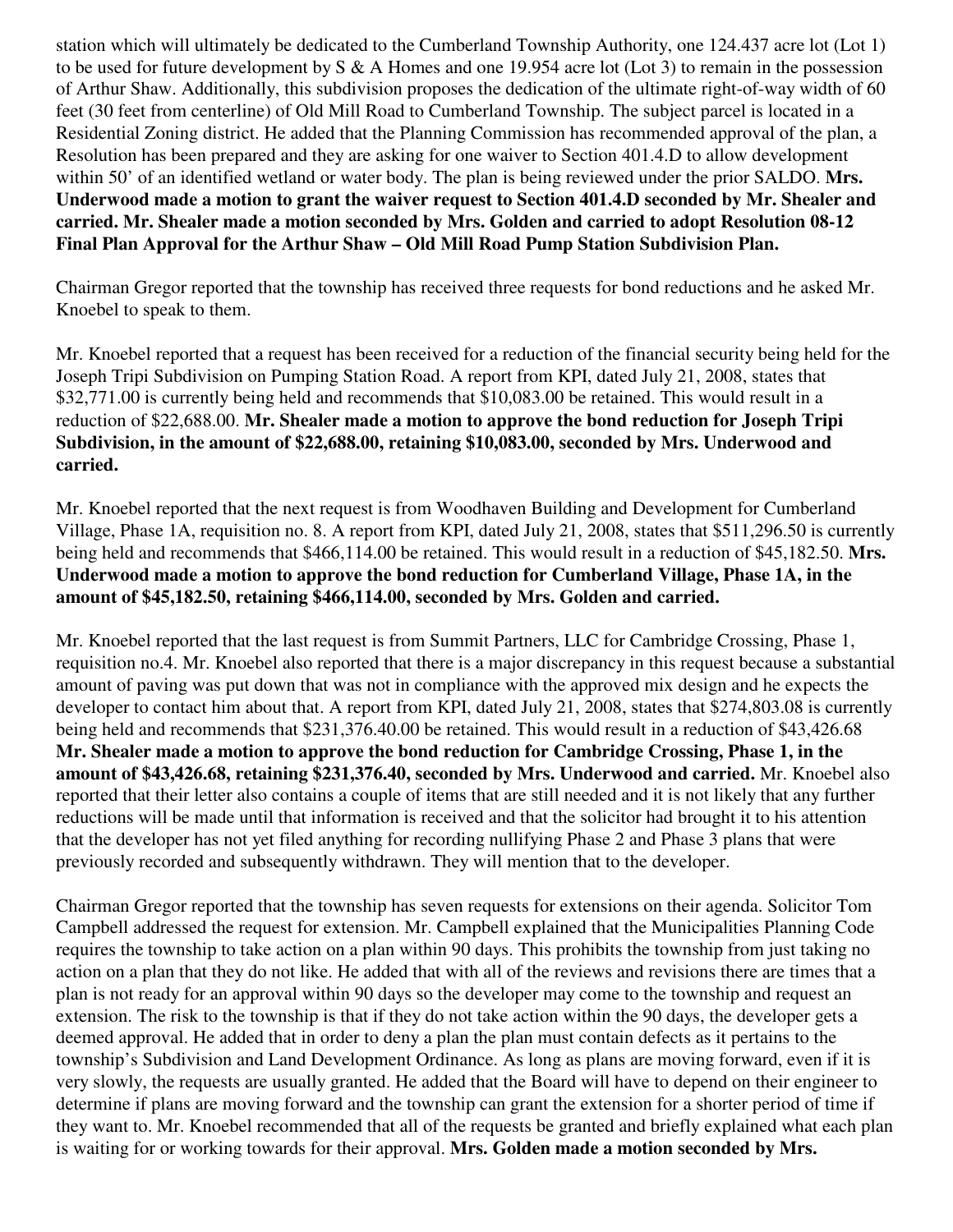station which will ultimately be dedicated to the Cumberland Township Authority, one 124.437 acre lot (Lot 1) to be used for future development by  $S \& A$  Homes and one 19.954 acre lot (Lot 3) to remain in the possession of Arthur Shaw. Additionally, this subdivision proposes the dedication of the ultimate right-of-way width of 60 feet (30 feet from centerline) of Old Mill Road to Cumberland Township. The subject parcel is located in a Residential Zoning district. He added that the Planning Commission has recommended approval of the plan, a Resolution has been prepared and they are asking for one waiver to Section 401.4.D to allow development within 50' of an identified wetland or water body. The plan is being reviewed under the prior SALDO. **Mrs. Underwood made a motion to grant the waiver request to Section 401.4.D seconded by Mr. Shealer and carried. Mr. Shealer made a motion seconded by Mrs. Golden and carried to adopt Resolution 08-12 Final Plan Approval for the Arthur Shaw – Old Mill Road Pump Station Subdivision Plan.** 

Chairman Gregor reported that the township has received three requests for bond reductions and he asked Mr. Knoebel to speak to them.

Mr. Knoebel reported that a request has been received for a reduction of the financial security being held for the Joseph Tripi Subdivision on Pumping Station Road. A report from KPI, dated July 21, 2008, states that \$32,771.00 is currently being held and recommends that \$10,083.00 be retained. This would result in a reduction of \$22,688.00. **Mr. Shealer made a motion to approve the bond reduction for Joseph Tripi Subdivision, in the amount of \$22,688.00, retaining \$10,083.00, seconded by Mrs. Underwood and carried.** 

Mr. Knoebel reported that the next request is from Woodhaven Building and Development for Cumberland Village, Phase 1A, requisition no. 8. A report from KPI, dated July 21, 2008, states that \$511,296.50 is currently being held and recommends that \$466,114.00 be retained. This would result in a reduction of \$45,182.50. **Mrs. Underwood made a motion to approve the bond reduction for Cumberland Village, Phase 1A, in the amount of \$45,182.50, retaining \$466,114.00, seconded by Mrs. Golden and carried.** 

Mr. Knoebel reported that the last request is from Summit Partners, LLC for Cambridge Crossing, Phase 1, requisition no.4. Mr. Knoebel also reported that there is a major discrepancy in this request because a substantial amount of paving was put down that was not in compliance with the approved mix design and he expects the developer to contact him about that. A report from KPI, dated July 21, 2008, states that \$274,803.08 is currently being held and recommends that \$231,376.40.00 be retained. This would result in a reduction of \$43,426.68 **Mr. Shealer made a motion to approve the bond reduction for Cambridge Crossing, Phase 1, in the amount of \$43,426.68, retaining \$231,376.40, seconded by Mrs. Underwood and carried.** Mr. Knoebel also reported that their letter also contains a couple of items that are still needed and it is not likely that any further reductions will be made until that information is received and that the solicitor had brought it to his attention that the developer has not yet filed anything for recording nullifying Phase 2 and Phase 3 plans that were previously recorded and subsequently withdrawn. They will mention that to the developer.

Chairman Gregor reported that the township has seven requests for extensions on their agenda. Solicitor Tom Campbell addressed the request for extension. Mr. Campbell explained that the Municipalities Planning Code requires the township to take action on a plan within 90 days. This prohibits the township from just taking no action on a plan that they do not like. He added that with all of the reviews and revisions there are times that a plan is not ready for an approval within 90 days so the developer may come to the township and request an extension. The risk to the township is that if they do not take action within the 90 days, the developer gets a deemed approval. He added that in order to deny a plan the plan must contain defects as it pertains to the township's Subdivision and Land Development Ordinance. As long as plans are moving forward, even if it is very slowly, the requests are usually granted. He added that the Board will have to depend on their engineer to determine if plans are moving forward and the township can grant the extension for a shorter period of time if they want to. Mr. Knoebel recommended that all of the requests be granted and briefly explained what each plan is waiting for or working towards for their approval. **Mrs. Golden made a motion seconded by Mrs.**